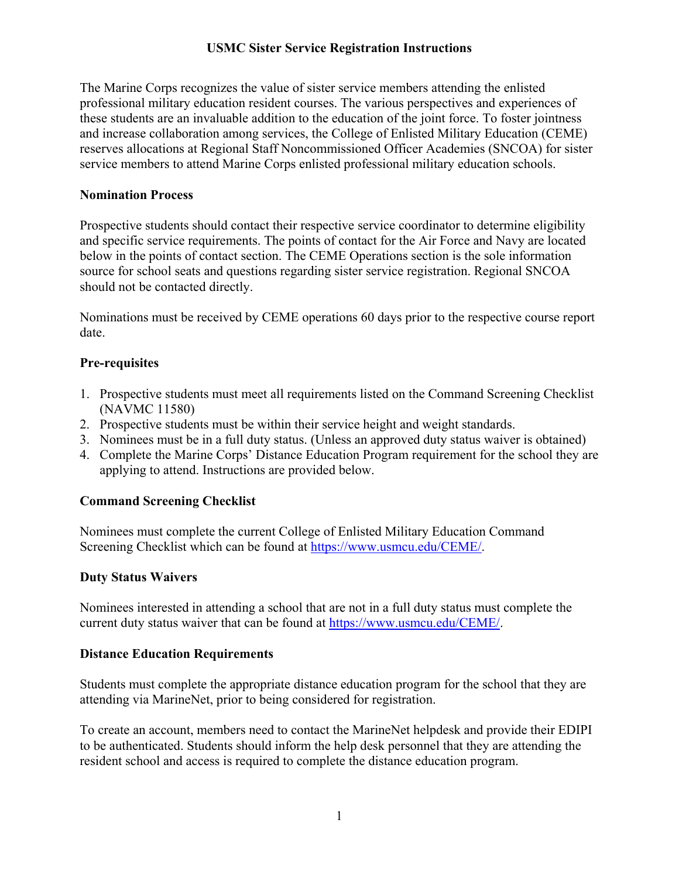## **USMC Sister Service Registration Instructions**

The Marine Corps recognizes the value of sister service members attending the enlisted professional military education resident courses. The various perspectives and experiences of these students are an invaluable addition to the education of the joint force. To foster jointness and increase collaboration among services, the College of Enlisted Military Education (CEME) reserves allocations at Regional Staff Noncommissioned Officer Academies (SNCOA) for sister service members to attend Marine Corps enlisted professional military education schools.

### **Nomination Process**

Prospective students should contact their respective service coordinator to determine eligibility and specific service requirements. The points of contact for the Air Force and Navy are located below in the points of contact section. The CEME Operations section is the sole information source for school seats and questions regarding sister service registration. Regional SNCOA should not be contacted directly.

Nominations must be received by CEME operations 60 days prior to the respective course report date.

# **Pre-requisites**

- 1. Prospective students must meet all requirements listed on the Command Screening Checklist (NAVMC 11580)
- 2. Prospective students must be within their service height and weight standards.
- 3. Nominees must be in a full duty status. (Unless an approved duty status waiver is obtained)
- 4. Complete the Marine Corps' Distance Education Program requirement for the school they are applying to attend. Instructions are provided below.

# **Command Screening Checklist**

Nominees must complete the current College of Enlisted Military Education Command Screening Checklist which can be found at [https://www.usmcu.edu/CEME/.](https://www.usmcu.edu/CEME/)

# **Duty Status Waivers**

Nominees interested in attending a school that are not in a full duty status must complete the current duty status waiver that can be found at [https://www.usmcu.edu/CEME/.](https://www.usmcu.edu/CEME/)

#### **Distance Education Requirements**

Students must complete the appropriate distance education program for the school that they are attending via MarineNet, prior to being considered for registration.

To create an account, members need to contact the MarineNet helpdesk and provide their EDIPI to be authenticated. Students should inform the help desk personnel that they are attending the resident school and access is required to complete the distance education program.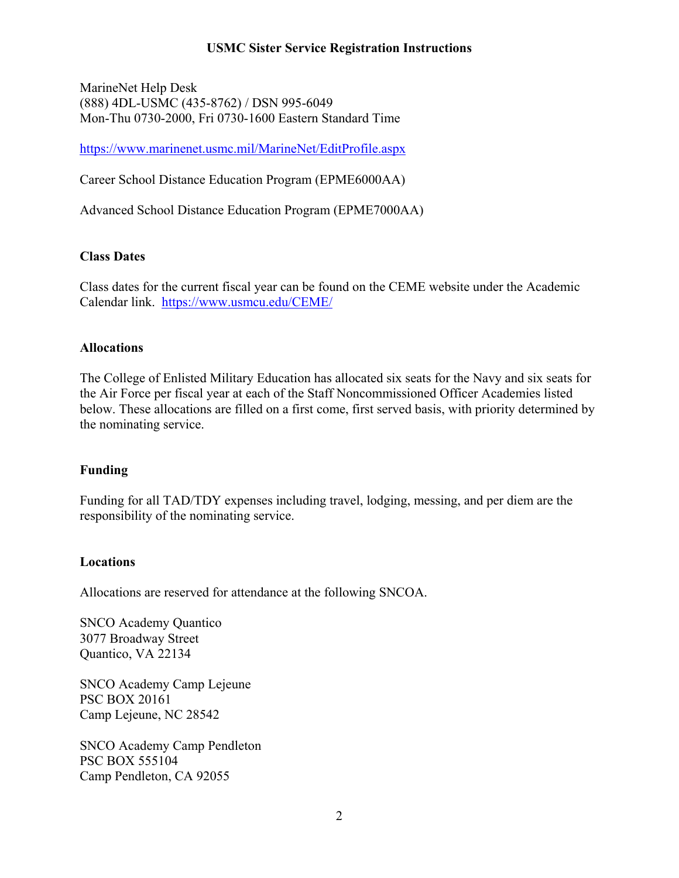### **USMC Sister Service Registration Instructions**

MarineNet Help Desk (888) 4DL-USMC (435-8762) / DSN 995-6049 Mon-Thu 0730-2000, Fri 0730-1600 Eastern Standard Time

<https://www.marinenet.usmc.mil/MarineNet/EditProfile.aspx>

Career School Distance Education Program (EPME6000AA)

Advanced School Distance Education Program (EPME7000AA)

### **Class Dates**

Class dates for the current fiscal year can be found on the CEME website under the Academic Calendar link. <https://www.usmcu.edu/CEME/>

#### **Allocations**

The College of Enlisted Military Education has allocated six seats for the Navy and six seats for the Air Force per fiscal year at each of the Staff Noncommissioned Officer Academies listed below. These allocations are filled on a first come, first served basis, with priority determined by the nominating service.

#### **Funding**

Funding for all TAD/TDY expenses including travel, lodging, messing, and per diem are the responsibility of the nominating service.

#### **Locations**

Allocations are reserved for attendance at the following SNCOA.

SNCO Academy Quantico 3077 Broadway Street Quantico, VA 22134

SNCO Academy Camp Lejeune PSC BOX 20161 Camp Lejeune, NC 28542

SNCO Academy Camp Pendleton PSC BOX 555104 Camp Pendleton, CA 92055